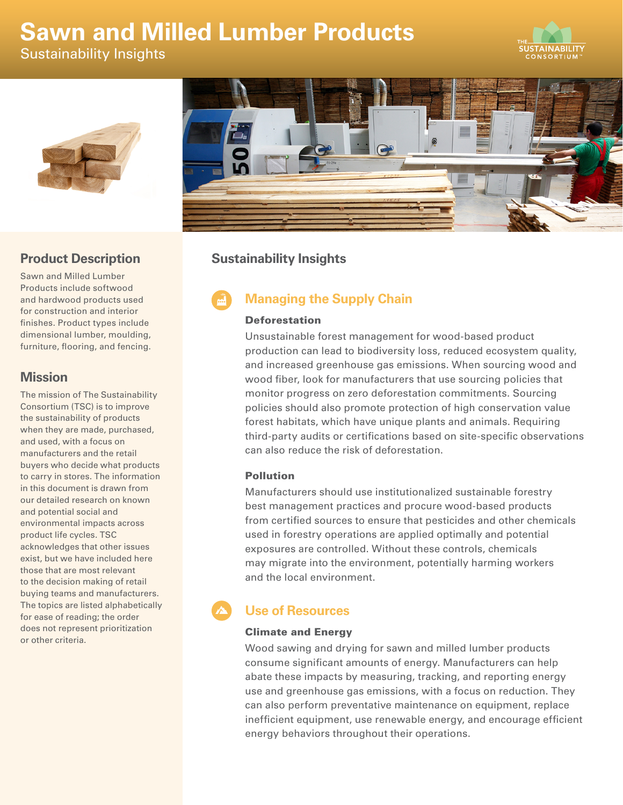# **Sawn and Milled Lumber Products**

Sustainability Insights







### **Product Description**

Sawn and Milled Lumber Products include softwood and hardwood products used for construction and interior finishes. Product types include dimensional lumber, moulding, furniture, flooring, and fencing.

### **Mission**

The mission of The Sustainability Consortium (TSC) is to improve the sustainability of products when they are made, purchased, and used, with a focus on manufacturers and the retail buyers who decide what products to carry in stores. The information in this document is drawn from our detailed research on known and potential social and environmental impacts across product life cycles. TSC acknowledges that other issues exist, but we have included here those that are most relevant to the decision making of retail buying teams and manufacturers. The topics are listed alphabetically for ease of reading; the order does not represent prioritization or other criteria.

# **Sustainability Insights**

# **Managing the Supply Chain**

### Deforestation

Unsustainable forest management for wood-based product production can lead to biodiversity loss, reduced ecosystem quality, and increased greenhouse gas emissions. When sourcing wood and wood fiber, look for manufacturers that use sourcing policies that monitor progress on zero deforestation commitments. Sourcing policies should also promote protection of high conservation value forest habitats, which have unique plants and animals. Requiring third-party audits or certifications based on site-specific observations can also reduce the risk of deforestation.

### Pollution

Manufacturers should use institutionalized sustainable forestry best management practices and procure wood-based products from certified sources to ensure that pesticides and other chemicals used in forestry operations are applied optimally and potential exposures are controlled. Without these controls, chemicals may migrate into the environment, potentially harming workers and the local environment.

# **Use of Resources**

### Climate and Energy

Wood sawing and drying for sawn and milled lumber products consume significant amounts of energy. Manufacturers can help abate these impacts by measuring, tracking, and reporting energy use and greenhouse gas emissions, with a focus on reduction. They can also perform preventative maintenance on equipment, replace inefficient equipment, use renewable energy, and encourage efficient energy behaviors throughout their operations.